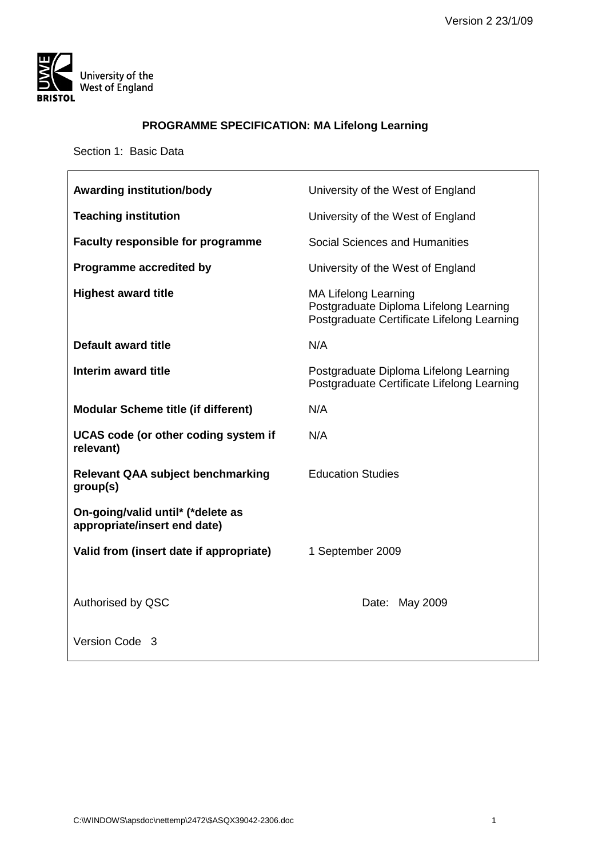

 $\mathsf{r}$ 

# **PROGRAMME SPECIFICATION: MA Lifelong Learning**

Section 1: Basic Data

| <b>Awarding institution/body</b>                                  | University of the West of England                                                                                   |
|-------------------------------------------------------------------|---------------------------------------------------------------------------------------------------------------------|
| <b>Teaching institution</b>                                       | University of the West of England                                                                                   |
| <b>Faculty responsible for programme</b>                          | Social Sciences and Humanities                                                                                      |
| <b>Programme accredited by</b>                                    | University of the West of England                                                                                   |
| <b>Highest award title</b>                                        | <b>MA Lifelong Learning</b><br>Postgraduate Diploma Lifelong Learning<br>Postgraduate Certificate Lifelong Learning |
| <b>Default award title</b>                                        | N/A                                                                                                                 |
| Interim award title                                               | Postgraduate Diploma Lifelong Learning<br>Postgraduate Certificate Lifelong Learning                                |
| <b>Modular Scheme title (if different)</b>                        | N/A                                                                                                                 |
| UCAS code (or other coding system if<br>relevant)                 | N/A                                                                                                                 |
| <b>Relevant QAA subject benchmarking</b><br>group(s)              | <b>Education Studies</b>                                                                                            |
| On-going/valid until* (*delete as<br>appropriate/insert end date) |                                                                                                                     |
| Valid from (insert date if appropriate)                           | 1 September 2009                                                                                                    |
|                                                                   |                                                                                                                     |
| Authorised by QSC                                                 | Date: May 2009                                                                                                      |
| Version Code 3                                                    |                                                                                                                     |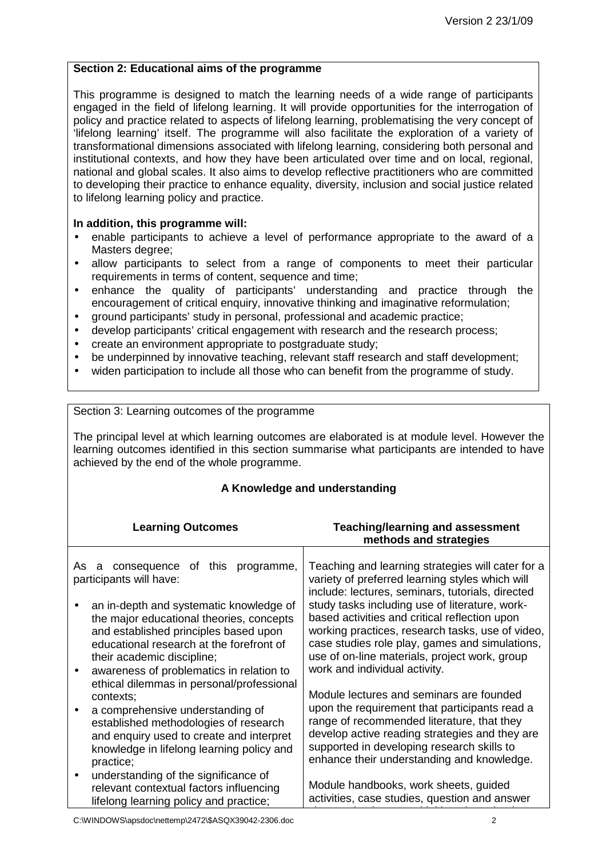### **Section 2: Educational aims of the programme**

This programme is designed to match the learning needs of a wide range of participants engaged in the field of lifelong learning. It will provide opportunities for the interrogation of policy and practice related to aspects of lifelong learning, problematising the very concept of 'lifelong learning' itself. The programme will also facilitate the exploration of a variety of transformational dimensions associated with lifelong learning, considering both personal and institutional contexts, and how they have been articulated over time and on local, regional, national and global scales. It also aims to develop reflective practitioners who are committed to developing their practice to enhance equality, diversity, inclusion and social justice related to lifelong learning policy and practice.

#### **In addition, this programme will:**

- enable participants to achieve a level of performance appropriate to the award of a Masters degree:
- allow participants to select from a range of components to meet their particular requirements in terms of content, sequence and time;
- enhance the quality of participants' understanding and practice through the encouragement of critical enquiry, innovative thinking and imaginative reformulation;
- ground participants' study in personal, professional and academic practice;
- develop participants' critical engagement with research and the research process;
- create an environment appropriate to postgraduate study;
- be underpinned by innovative teaching, relevant staff research and staff development;
- widen participation to include all those who can benefit from the programme of study.

#### Section 3: Learning outcomes of the programme

The principal level at which learning outcomes are elaborated is at module level. However the learning outcomes identified in this section summarise what participants are intended to have achieved by the end of the whole programme.

#### **A Knowledge and understanding**

| <b>Learning Outcomes</b>                                                                                                                                                        | <b>Teaching/learning and assessment</b><br>methods and strategies                                                                                                                                                                         |  |
|---------------------------------------------------------------------------------------------------------------------------------------------------------------------------------|-------------------------------------------------------------------------------------------------------------------------------------------------------------------------------------------------------------------------------------------|--|
| As<br>this programme,<br>consequence<br>of<br>a<br>participants will have:<br>an in-depth and systematic knowledge of                                                           | Teaching and learning strategies will cater for a<br>variety of preferred learning styles which will<br>include: lectures, seminars, tutorials, directed<br>study tasks including use of literature, work-                                |  |
| the major educational theories, concepts<br>and established principles based upon<br>educational research at the forefront of<br>their academic discipline;                     | based activities and critical reflection upon<br>working practices, research tasks, use of video,<br>case studies role play, games and simulations,<br>use of on-line materials, project work, group                                      |  |
| awareness of problematics in relation to<br>ethical dilemmas in personal/professional<br>contexts;                                                                              | work and individual activity.<br>Module lectures and seminars are founded                                                                                                                                                                 |  |
| a comprehensive understanding of<br>established methodologies of research<br>and enquiry used to create and interpret<br>knowledge in lifelong learning policy and<br>practice; | upon the requirement that participants read a<br>range of recommended literature, that they<br>develop active reading strategies and they are<br>supported in developing research skills to<br>enhance their understanding and knowledge. |  |
| understanding of the significance of<br>relevant contextual factors influencing<br>lifelong learning policy and practice;                                                       | Module handbooks, work sheets, guided<br>activities, case studies, question and answer                                                                                                                                                    |  |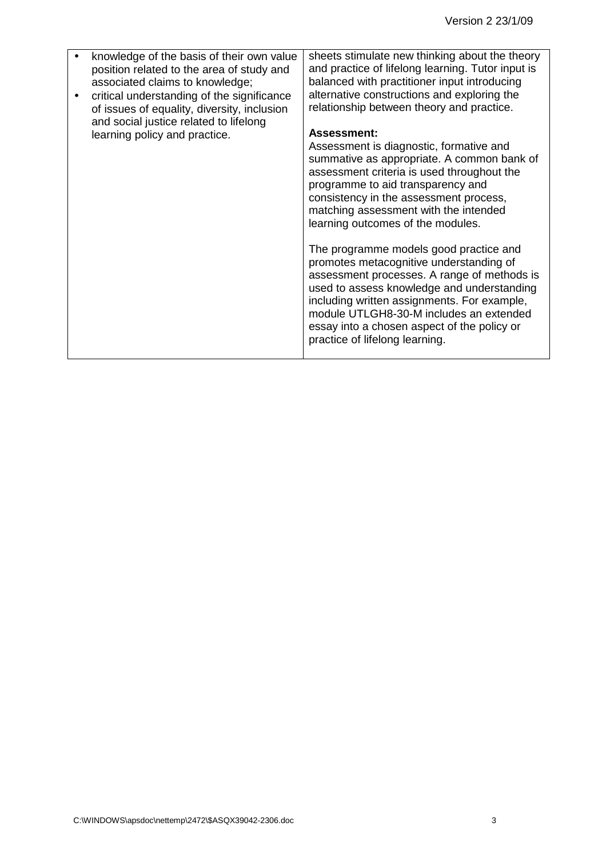| knowledge of the basis of their own value<br>position related to the area of study and<br>associated claims to knowledge;<br>critical understanding of the significance<br>of issues of equality, diversity, inclusion<br>and social justice related to lifelong<br>learning policy and practice. | sheets stimulate new thinking about the theory<br>and practice of lifelong learning. Tutor input is<br>balanced with practitioner input introducing<br>alternative constructions and exploring the<br>relationship between theory and practice.<br><b>Assessment:</b><br>Assessment is diagnostic, formative and<br>summative as appropriate. A common bank of<br>assessment criteria is used throughout the<br>programme to aid transparency and<br>consistency in the assessment process,<br>matching assessment with the intended<br>learning outcomes of the modules.<br>The programme models good practice and<br>promotes metacognitive understanding of<br>assessment processes. A range of methods is<br>used to assess knowledge and understanding<br>including written assignments. For example,<br>module UTLGH8-30-M includes an extended<br>essay into a chosen aspect of the policy or<br>practice of lifelong learning. |
|---------------------------------------------------------------------------------------------------------------------------------------------------------------------------------------------------------------------------------------------------------------------------------------------------|----------------------------------------------------------------------------------------------------------------------------------------------------------------------------------------------------------------------------------------------------------------------------------------------------------------------------------------------------------------------------------------------------------------------------------------------------------------------------------------------------------------------------------------------------------------------------------------------------------------------------------------------------------------------------------------------------------------------------------------------------------------------------------------------------------------------------------------------------------------------------------------------------------------------------------------|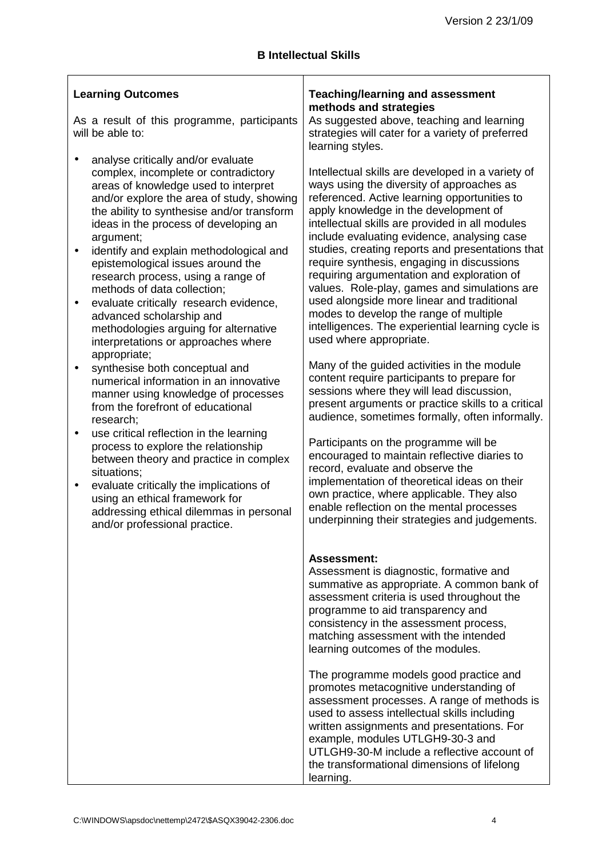| <b>Learning Outcomes</b><br>As a result of this programme, participants<br>will be able to:                                                                                                                                                                                                                                                                                                                                                                                                                                                                                                                           | <b>Teaching/learning and assessment</b><br>methods and strategies<br>As suggested above, teaching and learning<br>strategies will cater for a variety of preferred                                                                                                                                                                                                                                                                                                                                                                                                                                                                                                                    |  |
|-----------------------------------------------------------------------------------------------------------------------------------------------------------------------------------------------------------------------------------------------------------------------------------------------------------------------------------------------------------------------------------------------------------------------------------------------------------------------------------------------------------------------------------------------------------------------------------------------------------------------|---------------------------------------------------------------------------------------------------------------------------------------------------------------------------------------------------------------------------------------------------------------------------------------------------------------------------------------------------------------------------------------------------------------------------------------------------------------------------------------------------------------------------------------------------------------------------------------------------------------------------------------------------------------------------------------|--|
| analyse critically and/or evaluate<br>$\bullet$<br>complex, incomplete or contradictory<br>areas of knowledge used to interpret<br>and/or explore the area of study, showing<br>the ability to synthesise and/or transform<br>ideas in the process of developing an<br>argument;<br>identify and explain methodological and<br>$\bullet$<br>epistemological issues around the<br>research process, using a range of<br>methods of data collection;<br>evaluate critically research evidence,<br>$\bullet$<br>advanced scholarship and<br>methodologies arguing for alternative<br>interpretations or approaches where | learning styles.<br>Intellectual skills are developed in a variety of<br>ways using the diversity of approaches as<br>referenced. Active learning opportunities to<br>apply knowledge in the development of<br>intellectual skills are provided in all modules<br>include evaluating evidence, analysing case<br>studies, creating reports and presentations that<br>require synthesis, engaging in discussions<br>requiring argumentation and exploration of<br>values. Role-play, games and simulations are<br>used alongside more linear and traditional<br>modes to develop the range of multiple<br>intelligences. The experiential learning cycle is<br>used where appropriate. |  |
| appropriate;<br>synthesise both conceptual and<br>$\bullet$<br>numerical information in an innovative<br>manner using knowledge of processes<br>from the forefront of educational<br>research;                                                                                                                                                                                                                                                                                                                                                                                                                        | Many of the guided activities in the module<br>content require participants to prepare for<br>sessions where they will lead discussion,<br>present arguments or practice skills to a critical<br>audience, sometimes formally, often informally.                                                                                                                                                                                                                                                                                                                                                                                                                                      |  |
| use critical reflection in the learning<br>$\bullet$<br>process to explore the relationship<br>between theory and practice in complex<br>situations;<br>evaluate critically the implications of<br>$\bullet$<br>using an ethical framework for<br>addressing ethical dilemmas in personal<br>and/or professional practice.                                                                                                                                                                                                                                                                                            | Participants on the programme will be<br>encouraged to maintain reflective diaries to<br>record, evaluate and observe the<br>implementation of theoretical ideas on their<br>own practice, where applicable. They also<br>enable reflection on the mental processes<br>underpinning their strategies and judgements.                                                                                                                                                                                                                                                                                                                                                                  |  |
|                                                                                                                                                                                                                                                                                                                                                                                                                                                                                                                                                                                                                       | <b>Assessment:</b><br>Assessment is diagnostic, formative and<br>summative as appropriate. A common bank of<br>assessment criteria is used throughout the<br>programme to aid transparency and<br>consistency in the assessment process,<br>matching assessment with the intended<br>learning outcomes of the modules.                                                                                                                                                                                                                                                                                                                                                                |  |
|                                                                                                                                                                                                                                                                                                                                                                                                                                                                                                                                                                                                                       | The programme models good practice and<br>promotes metacognitive understanding of<br>assessment processes. A range of methods is<br>used to assess intellectual skills including<br>written assignments and presentations. For<br>example, modules UTLGH9-30-3 and<br>UTLGH9-30-M include a reflective account of<br>the transformational dimensions of lifelong<br>learning.                                                                                                                                                                                                                                                                                                         |  |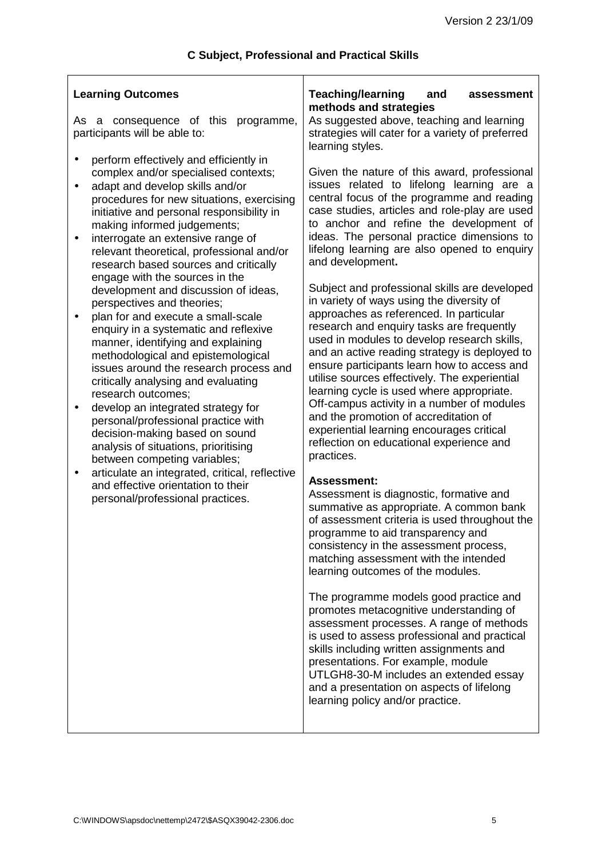$\overline{1}$ 

| <b>Learning Outcomes</b><br>As a consequence of this programme,<br>participants will be able to:                                                                                                                                                                                                                                                                                                                                                                                                                                                                                                                                                                                                                                                                                                                                                                                                                                                                                                                                                                                                                                    | <b>Teaching/learning</b><br>and<br>assessment<br>methods and strategies<br>As suggested above, teaching and learning<br>strategies will cater for a variety of preferred                                                                                                                                                                                                                                                                                                                                                                                                                                                                                                                                                                                                                                                                                                                                                                                                                                                                                                                                                                                                                                                                                                                                                                                                                                                                                                                                                                                                                                                                                                                                                           |  |  |
|-------------------------------------------------------------------------------------------------------------------------------------------------------------------------------------------------------------------------------------------------------------------------------------------------------------------------------------------------------------------------------------------------------------------------------------------------------------------------------------------------------------------------------------------------------------------------------------------------------------------------------------------------------------------------------------------------------------------------------------------------------------------------------------------------------------------------------------------------------------------------------------------------------------------------------------------------------------------------------------------------------------------------------------------------------------------------------------------------------------------------------------|------------------------------------------------------------------------------------------------------------------------------------------------------------------------------------------------------------------------------------------------------------------------------------------------------------------------------------------------------------------------------------------------------------------------------------------------------------------------------------------------------------------------------------------------------------------------------------------------------------------------------------------------------------------------------------------------------------------------------------------------------------------------------------------------------------------------------------------------------------------------------------------------------------------------------------------------------------------------------------------------------------------------------------------------------------------------------------------------------------------------------------------------------------------------------------------------------------------------------------------------------------------------------------------------------------------------------------------------------------------------------------------------------------------------------------------------------------------------------------------------------------------------------------------------------------------------------------------------------------------------------------------------------------------------------------------------------------------------------------|--|--|
| perform effectively and efficiently in<br>$\bullet$<br>complex and/or specialised contexts;<br>adapt and develop skills and/or<br>$\bullet$<br>procedures for new situations, exercising<br>initiative and personal responsibility in<br>making informed judgements;<br>interrogate an extensive range of<br>$\bullet$<br>relevant theoretical, professional and/or<br>research based sources and critically<br>engage with the sources in the<br>development and discussion of ideas,<br>perspectives and theories;<br>plan for and execute a small-scale<br>enquiry in a systematic and reflexive<br>manner, identifying and explaining<br>methodological and epistemological<br>issues around the research process and<br>critically analysing and evaluating<br>research outcomes;<br>develop an integrated strategy for<br>$\bullet$<br>personal/professional practice with<br>decision-making based on sound<br>analysis of situations, prioritising<br>between competing variables;<br>articulate an integrated, critical, reflective<br>$\bullet$<br>and effective orientation to their<br>personal/professional practices. | learning styles.<br>Given the nature of this award, professional<br>issues related to lifelong learning are a<br>central focus of the programme and reading<br>case studies, articles and role-play are used<br>to anchor and refine the development of<br>ideas. The personal practice dimensions to<br>lifelong learning are also opened to enquiry<br>and development.<br>Subject and professional skills are developed<br>in variety of ways using the diversity of<br>approaches as referenced. In particular<br>research and enquiry tasks are frequently<br>used in modules to develop research skills,<br>and an active reading strategy is deployed to<br>ensure participants learn how to access and<br>utilise sources effectively. The experiential<br>learning cycle is used where appropriate.<br>Off-campus activity in a number of modules<br>and the promotion of accreditation of<br>experiential learning encourages critical<br>reflection on educational experience and<br>practices.<br><b>Assessment:</b><br>Assessment is diagnostic, formative and<br>summative as appropriate. A common bank<br>of assessment criteria is used throughout the<br>programme to aid transparency and<br>consistency in the assessment process,<br>matching assessment with the intended<br>learning outcomes of the modules.<br>The programme models good practice and<br>promotes metacognitive understanding of<br>assessment processes. A range of methods<br>is used to assess professional and practical<br>skills including written assignments and<br>presentations. For example, module<br>UTLGH8-30-M includes an extended essay<br>and a presentation on aspects of lifelong<br>learning policy and/or practice. |  |  |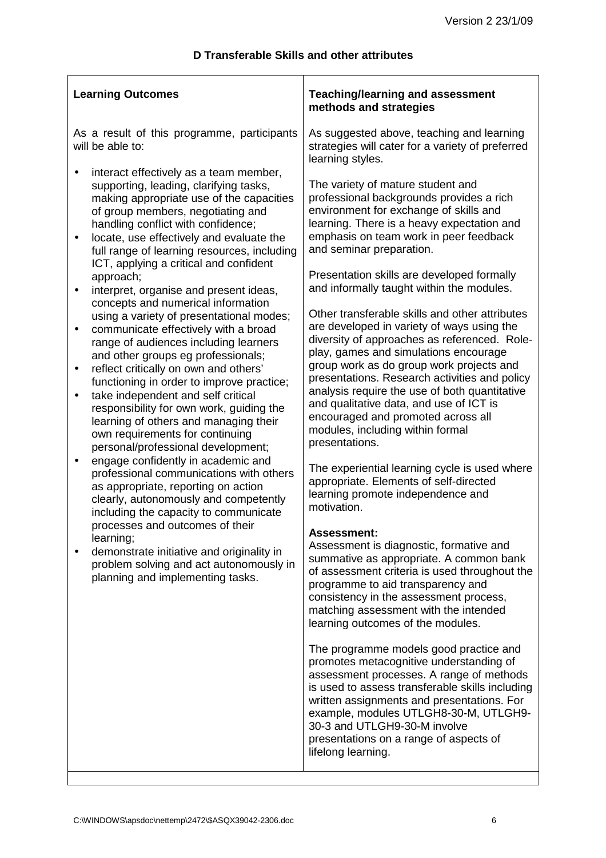| <b>Learning Outcomes</b>                                                                                                                                                                                                                                                                                        | <b>Teaching/learning and assessment</b><br>methods and strategies                                                                                                                                                                                                                                                                                                       |  |  |
|-----------------------------------------------------------------------------------------------------------------------------------------------------------------------------------------------------------------------------------------------------------------------------------------------------------------|-------------------------------------------------------------------------------------------------------------------------------------------------------------------------------------------------------------------------------------------------------------------------------------------------------------------------------------------------------------------------|--|--|
| As a result of this programme, participants<br>will be able to:                                                                                                                                                                                                                                                 | As suggested above, teaching and learning<br>strategies will cater for a variety of preferred<br>learning styles.                                                                                                                                                                                                                                                       |  |  |
| interact effectively as a team member,<br>supporting, leading, clarifying tasks,<br>making appropriate use of the capacities<br>of group members, negotiating and<br>handling conflict with confidence;<br>locate, use effectively and evaluate the<br>$\bullet$<br>full range of learning resources, including | The variety of mature student and<br>professional backgrounds provides a rich<br>environment for exchange of skills and<br>learning. There is a heavy expectation and<br>emphasis on team work in peer feedback<br>and seminar preparation.                                                                                                                             |  |  |
| ICT, applying a critical and confident<br>approach;<br>interpret, organise and present ideas,<br>$\bullet$                                                                                                                                                                                                      | Presentation skills are developed formally<br>and informally taught within the modules.                                                                                                                                                                                                                                                                                 |  |  |
| concepts and numerical information<br>using a variety of presentational modes;<br>communicate effectively with a broad<br>$\bullet$<br>range of audiences including learners<br>and other groups eg professionals;<br>reflect critically on own and others'<br>$\bullet$                                        | Other transferable skills and other attributes<br>are developed in variety of ways using the<br>diversity of approaches as referenced. Role-<br>play, games and simulations encourage<br>group work as do group work projects and                                                                                                                                       |  |  |
| functioning in order to improve practice;<br>take independent and self critical<br>$\bullet$<br>responsibility for own work, guiding the<br>learning of others and managing their<br>own requirements for continuing<br>personal/professional development;                                                      | presentations. Research activities and policy<br>analysis require the use of both quantitative<br>and qualitative data, and use of ICT is<br>encouraged and promoted across all<br>modules, including within formal<br>presentations.                                                                                                                                   |  |  |
| engage confidently in academic and<br>$\bullet$<br>professional communications with others<br>as appropriate, reporting on action<br>clearly, autonomously and competently<br>including the capacity to communicate                                                                                             | The experiential learning cycle is used where<br>appropriate. Elements of self-directed<br>learning promote independence and<br>motivation.                                                                                                                                                                                                                             |  |  |
| processes and outcomes of their<br>learning;<br>demonstrate initiative and originality in<br>problem solving and act autonomously in<br>planning and implementing tasks.                                                                                                                                        | <b>Assessment:</b><br>Assessment is diagnostic, formative and<br>summative as appropriate. A common bank<br>of assessment criteria is used throughout the<br>programme to aid transparency and<br>consistency in the assessment process,<br>matching assessment with the intended<br>learning outcomes of the modules.                                                  |  |  |
|                                                                                                                                                                                                                                                                                                                 | The programme models good practice and<br>promotes metacognitive understanding of<br>assessment processes. A range of methods<br>is used to assess transferable skills including<br>written assignments and presentations. For<br>example, modules UTLGH8-30-M, UTLGH9-<br>30-3 and UTLGH9-30-M involve<br>presentations on a range of aspects of<br>lifelong learning. |  |  |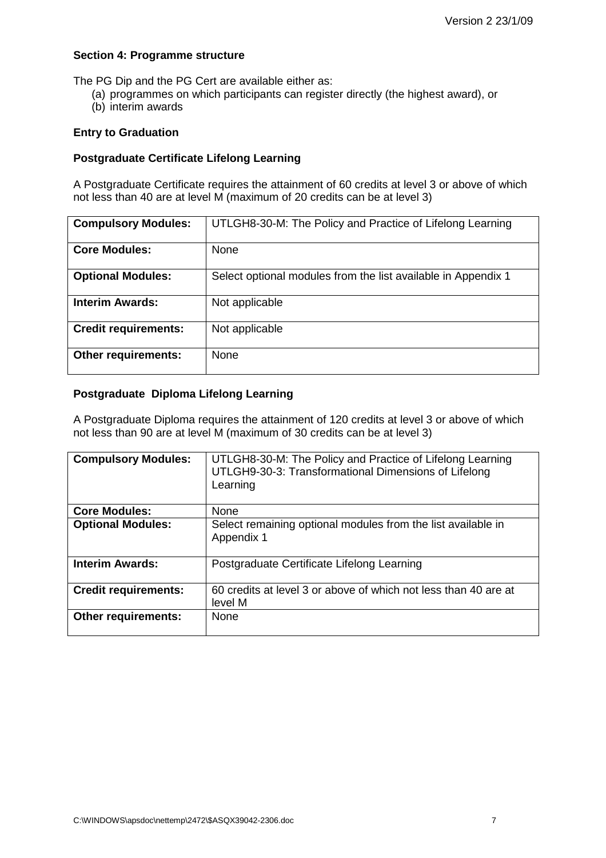#### **Section 4: Programme structure**

The PG Dip and the PG Cert are available either as:

- (a) programmes on which participants can register directly (the highest award), or
- (b) interim awards

#### **Entry to Graduation**

#### **Postgraduate Certificate Lifelong Learning**

A Postgraduate Certificate requires the attainment of 60 credits at level 3 or above of which not less than 40 are at level M (maximum of 20 credits can be at level 3)

| <b>Compulsory Modules:</b>  | UTLGH8-30-M: The Policy and Practice of Lifelong Learning     |
|-----------------------------|---------------------------------------------------------------|
| <b>Core Modules:</b>        | None                                                          |
| <b>Optional Modules:</b>    | Select optional modules from the list available in Appendix 1 |
| <b>Interim Awards:</b>      | Not applicable                                                |
| <b>Credit requirements:</b> | Not applicable                                                |
| <b>Other requirements:</b>  | <b>None</b>                                                   |

#### **Postgraduate Diploma Lifelong Learning**

A Postgraduate Diploma requires the attainment of 120 credits at level 3 or above of which not less than 90 are at level M (maximum of 30 credits can be at level 3)

| <b>Compulsory Modules:</b>  | UTLGH8-30-M: The Policy and Practice of Lifelong Learning<br>UTLGH9-30-3: Transformational Dimensions of Lifelong<br>Learning |
|-----------------------------|-------------------------------------------------------------------------------------------------------------------------------|
| <b>Core Modules:</b>        | None                                                                                                                          |
| <b>Optional Modules:</b>    | Select remaining optional modules from the list available in<br>Appendix 1                                                    |
| <b>Interim Awards:</b>      | Postgraduate Certificate Lifelong Learning                                                                                    |
| <b>Credit requirements:</b> | 60 credits at level 3 or above of which not less than 40 are at<br>level M                                                    |
| <b>Other requirements:</b>  | <b>None</b>                                                                                                                   |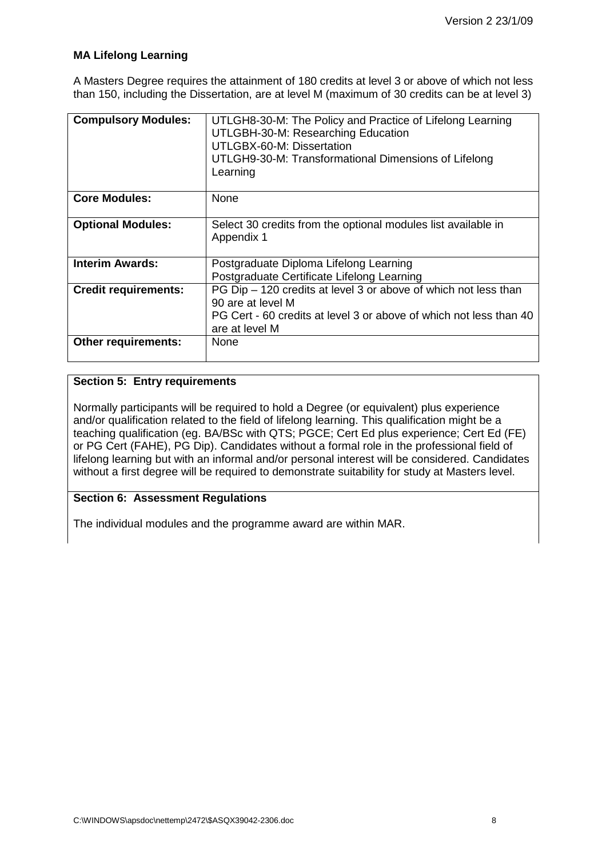### **MA Lifelong Learning**

A Masters Degree requires the attainment of 180 credits at level 3 or above of which not less than 150, including the Dissertation, are at level M (maximum of 30 credits can be at level 3)

| <b>Compulsory Modules:</b>  | UTLGH8-30-M: The Policy and Practice of Lifelong Learning<br>UTLGBH-30-M: Researching Education<br>UTLGBX-60-M: Dissertation<br>UTLGH9-30-M: Transformational Dimensions of Lifelong<br>Learning |
|-----------------------------|--------------------------------------------------------------------------------------------------------------------------------------------------------------------------------------------------|
| <b>Core Modules:</b>        | <b>None</b>                                                                                                                                                                                      |
| <b>Optional Modules:</b>    | Select 30 credits from the optional modules list available in<br>Appendix 1                                                                                                                      |
| <b>Interim Awards:</b>      | Postgraduate Diploma Lifelong Learning<br>Postgraduate Certificate Lifelong Learning                                                                                                             |
| <b>Credit requirements:</b> | PG Dip - 120 credits at level 3 or above of which not less than<br>90 are at level M<br>PG Cert - 60 credits at level 3 or above of which not less than 40<br>are at level M                     |
| <b>Other requirements:</b>  | <b>None</b>                                                                                                                                                                                      |

#### **Section 5: Entry requirements**

Normally participants will be required to hold a Degree (or equivalent) plus experience and/or qualification related to the field of lifelong learning. This qualification might be a teaching qualification (eg. BA/BSc with QTS; PGCE; Cert Ed plus experience; Cert Ed (FE) or PG Cert (FAHE), PG Dip). Candidates without a formal role in the professional field of lifelong learning but with an informal and/or personal interest will be considered. Candidates without a first degree will be required to demonstrate suitability for study at Masters level.

### **Section 6: Assessment Regulations**

The individual modules and the programme award are within MAR.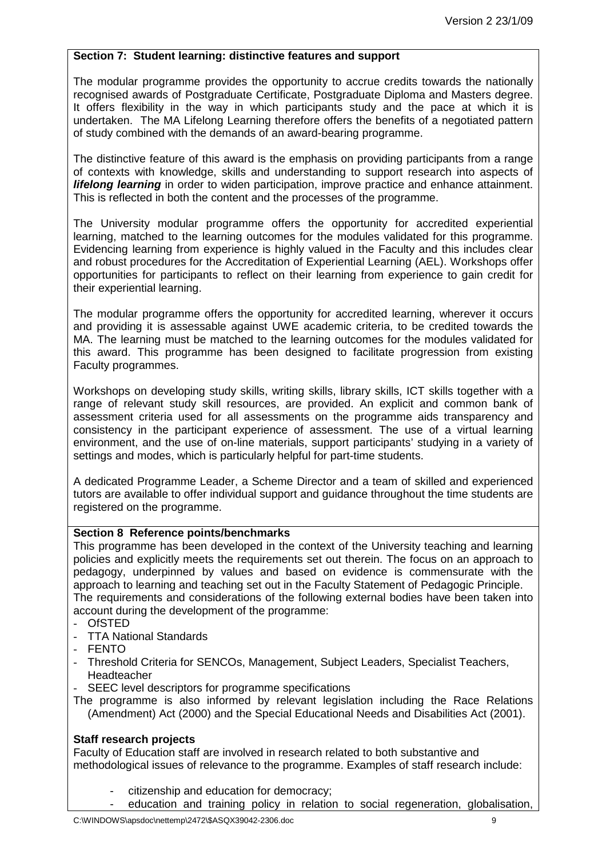### **Section 7: Student learning: distinctive features and support**

The modular programme provides the opportunity to accrue credits towards the nationally recognised awards of Postgraduate Certificate, Postgraduate Diploma and Masters degree. It offers flexibility in the way in which participants study and the pace at which it is undertaken. The MA Lifelong Learning therefore offers the benefits of a negotiated pattern of study combined with the demands of an award-bearing programme.

The distinctive feature of this award is the emphasis on providing participants from a range of contexts with knowledge, skills and understanding to support research into aspects of *lifelong learning* in order to widen participation, improve practice and enhance attainment. This is reflected in both the content and the processes of the programme.

The University modular programme offers the opportunity for accredited experiential learning, matched to the learning outcomes for the modules validated for this programme. Evidencing learning from experience is highly valued in the Faculty and this includes clear and robust procedures for the Accreditation of Experiential Learning (AEL). Workshops offer opportunities for participants to reflect on their learning from experience to gain credit for their experiential learning.

The modular programme offers the opportunity for accredited learning, wherever it occurs and providing it is assessable against UWE academic criteria, to be credited towards the MA. The learning must be matched to the learning outcomes for the modules validated for this award. This programme has been designed to facilitate progression from existing Faculty programmes.

Workshops on developing study skills, writing skills, library skills, ICT skills together with a range of relevant study skill resources, are provided. An explicit and common bank of assessment criteria used for all assessments on the programme aids transparency and consistency in the participant experience of assessment. The use of a virtual learning environment, and the use of on-line materials, support participants' studying in a variety of settings and modes, which is particularly helpful for part-time students.

A dedicated Programme Leader, a Scheme Director and a team of skilled and experienced tutors are available to offer individual support and guidance throughout the time students are registered on the programme.

#### **Section 8 Reference points/benchmarks**

This programme has been developed in the context of the University teaching and learning policies and explicitly meets the requirements set out therein. The focus on an approach to pedagogy, underpinned by values and based on evidence is commensurate with the approach to learning and teaching set out in the Faculty Statement of Pedagogic Principle. The requirements and considerations of the following external bodies have been taken into account during the development of the programme:

- OfSTED
- TTA National Standards
- FENTO
- Threshold Criteria for SENCOs, Management, Subject Leaders, Specialist Teachers, Headteacher
- SEEC level descriptors for programme specifications
- The programme is also informed by relevant legislation including the Race Relations (Amendment) Act (2000) and the Special Educational Needs and Disabilities Act (2001).

### **Staff research projects**

Faculty of Education staff are involved in research related to both substantive and methodological issues of relevance to the programme. Examples of staff research include:

- citizenship and education for democracy:
	- education and training policy in relation to social regeneration, globalisation,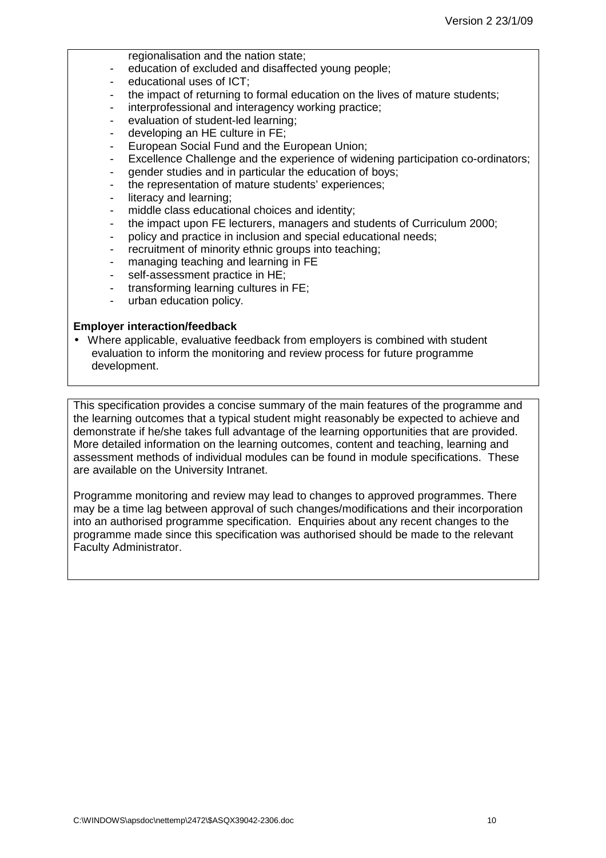regionalisation and the nation state;

- education of excluded and disaffected young people;
- educational uses of ICT;
- the impact of returning to formal education on the lives of mature students;
- interprofessional and interagency working practice;
- evaluation of student-led learning:
- developing an HE culture in FE;
- European Social Fund and the European Union;
- Excellence Challenge and the experience of widening participation co-ordinators;
- gender studies and in particular the education of boys;
- the representation of mature students' experiences;
- literacy and learning:
- middle class educational choices and identity;
- the impact upon FE lecturers, managers and students of Curriculum 2000;
- policy and practice in inclusion and special educational needs;
- recruitment of minority ethnic groups into teaching;
- managing teaching and learning in FE
- self-assessment practice in HE:
- transforming learning cultures in FE;
- urban education policy.

#### **Employer interaction/feedback**

• Where applicable, evaluative feedback from employers is combined with student evaluation to inform the monitoring and review process for future programme development.

This specification provides a concise summary of the main features of the programme and the learning outcomes that a typical student might reasonably be expected to achieve and demonstrate if he/she takes full advantage of the learning opportunities that are provided. More detailed information on the learning outcomes, content and teaching, learning and assessment methods of individual modules can be found in module specifications. These are available on the University Intranet.

Programme monitoring and review may lead to changes to approved programmes. There may be a time lag between approval of such changes/modifications and their incorporation into an authorised programme specification. Enquiries about any recent changes to the programme made since this specification was authorised should be made to the relevant Faculty Administrator.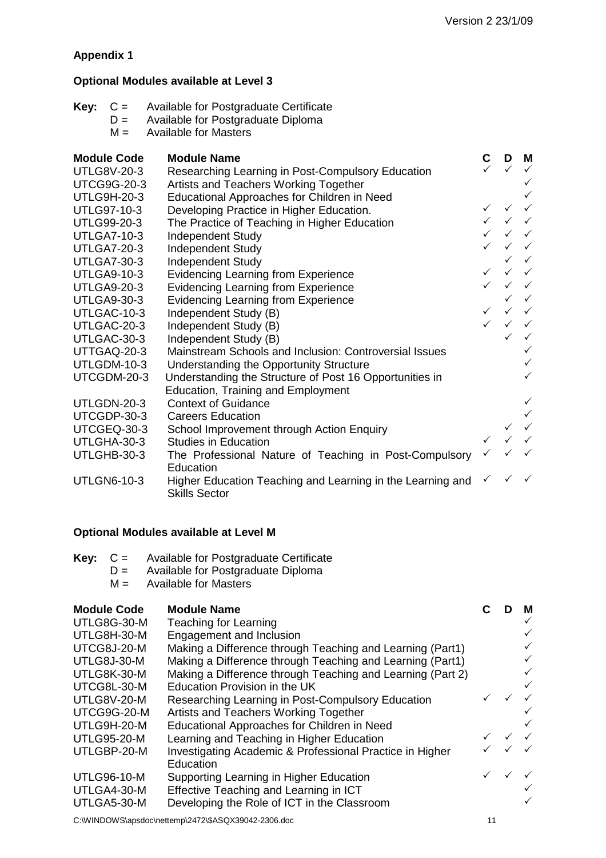# **Appendix 1**

# **Optional Modules available at Level 3**

| Key: | $C =$<br>$D =$<br>$M =$ | Available for Postgraduate Certificate<br>Available for Postgraduate Diploma<br><b>Available for Masters</b> |              |                                            |                           |
|------|-------------------------|--------------------------------------------------------------------------------------------------------------|--------------|--------------------------------------------|---------------------------|
|      | <b>Module Code</b>      | <b>Module Name</b>                                                                                           |              | D                                          | M                         |
|      | <b>UTLG8V-20-3</b>      | Researching Learning in Post-Compulsory Education                                                            |              |                                            |                           |
|      | <b>UTCG9G-20-3</b>      | Artists and Teachers Working Together                                                                        |              |                                            |                           |
|      | <b>UTLG9H-20-3</b>      | Educational Approaches for Children in Need                                                                  |              |                                            | $\checkmark$              |
|      | <b>UTLG97-10-3</b>      | Developing Practice in Higher Education.                                                                     | $\checkmark$ | $\checkmark$                               | $\checkmark$              |
|      | UTLG99-20-3             | The Practice of Teaching in Higher Education                                                                 |              | $\checkmark\quad\checkmark\quad\checkmark$ |                           |
|      | <b>UTLGA7-10-3</b>      | Independent Study                                                                                            |              | $\checkmark\quad\checkmark\quad\checkmark$ |                           |
|      | <b>UTLGA7-20-3</b>      | Independent Study                                                                                            |              |                                            | $\checkmark$              |
|      | <b>UTLGA7-30-3</b>      | Independent Study                                                                                            |              |                                            | $\checkmark$ $\checkmark$ |
|      | <b>UTLGA9-10-3</b>      | <b>Evidencing Learning from Experience</b>                                                                   | $\checkmark$ |                                            | $\checkmark$              |
|      | <b>UTLGA9-20-3</b>      | <b>Evidencing Learning from Experience</b>                                                                   |              | $\checkmark\quad\checkmark\quad\checkmark$ |                           |
|      | <b>UTLGA9-30-3</b>      | <b>Evidencing Learning from Experience</b>                                                                   |              |                                            | $\checkmark$ $\checkmark$ |
|      | UTLGAC-10-3             | Independent Study (B)                                                                                        | $\checkmark$ | $\checkmark$                               | $\checkmark$              |
|      | UTLGAC-20-3             | Independent Study (B)                                                                                        |              |                                            | $\checkmark$              |
|      | UTLGAC-30-3             | Independent Study (B)                                                                                        |              | ✓                                          | $\checkmark$              |
|      | UTTGAQ-20-3             | Mainstream Schools and Inclusion: Controversial Issues                                                       |              |                                            | $\checkmark$              |
|      | UTLGDM-10-3             | Understanding the Opportunity Structure                                                                      |              |                                            | $\checkmark$              |
|      | UTCGDM-20-3             | Understanding the Structure of Post 16 Opportunities in                                                      |              |                                            | $\checkmark$              |
|      |                         | <b>Education, Training and Employment</b>                                                                    |              |                                            |                           |
|      | UTLGDN-20-3             | <b>Context of Guidance</b>                                                                                   |              |                                            | $\checkmark$              |
|      | UTCGDP-30-3             | <b>Careers Education</b>                                                                                     |              |                                            | $\checkmark$              |
|      | UTCGEQ-30-3             | School Improvement through Action Enquiry                                                                    |              | $\checkmark$                               | $\checkmark$              |
|      | UTLGHA-30-3             | <b>Studies in Education</b>                                                                                  | $\checkmark$ | $\checkmark$                               |                           |
|      | UTLGHB-30-3             | The Professional Nature of Teaching in Post-Compulsory<br>Education                                          |              |                                            |                           |
|      | <b>UTLGN6-10-3</b>      | Higher Education Teaching and Learning in the Learning and<br><b>Skills Sector</b>                           |              | $\checkmark$                               |                           |

# **Optional Modules available at Level M**

| <b>Key:</b> $C =$ |  | Available for Postgraduate Certificate |
|-------------------|--|----------------------------------------|
|-------------------|--|----------------------------------------|

- $D =$  Available for Postgraduate Diploma<br> $M =$  Available for Masters
- Available for Masters

# **Module Code Module Name C D M**

| UTLG8G-30-M        | Teaching for Learning                                      |                                            |              |
|--------------------|------------------------------------------------------------|--------------------------------------------|--------------|
| UTLG8H-30-M        | Engagement and Inclusion                                   |                                            |              |
| UTCG8J-20-M        | Making a Difference through Teaching and Learning (Part1)  |                                            |              |
| UTLG8J-30-M        | Making a Difference through Teaching and Learning (Part1)  |                                            | $\checkmark$ |
| UTLG8K-30-M        | Making a Difference through Teaching and Learning (Part 2) |                                            |              |
| UTCG8L-30-M        | Education Provision in the UK                              |                                            | $\checkmark$ |
| <b>UTLG8V-20-M</b> | Researching Learning in Post-Compulsory Education          |                                            |              |
| UTCG9G-20-M        | Artists and Teachers Working Together                      |                                            |              |
| UTLG9H-20-M        | Educational Approaches for Children in Need                |                                            |              |
| <b>UTLG95-20-M</b> | Learning and Teaching in Higher Education                  | $\checkmark\quad\checkmark\quad\checkmark$ |              |
| UTLGBP-20-M        | Investigating Academic & Professional Practice in Higher   |                                            |              |
|                    | Education                                                  |                                            |              |
| <b>UTLG96-10-M</b> | Supporting Learning in Higher Education                    |                                            |              |
| UTLGA4-30-M        | Effective Teaching and Learning in ICT                     |                                            |              |
| UTLGA5-30-M        | Developing the Role of ICT in the Classroom                |                                            |              |
|                    |                                                            |                                            |              |